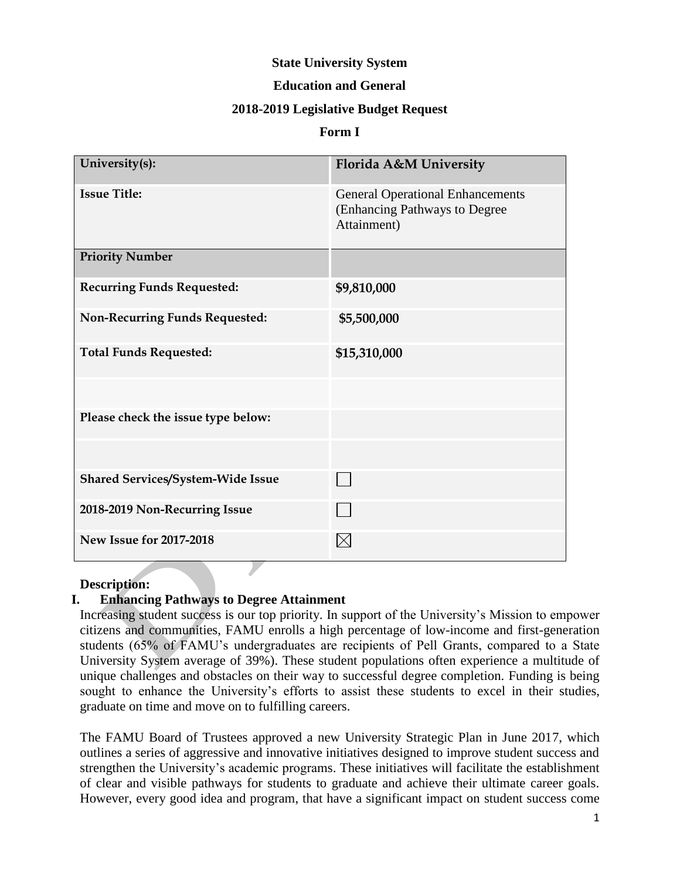#### **State University System**

#### **Education and General**

#### **2018-2019 Legislative Budget Request**

#### **Form I**

| University(s):                           | Florida A&M University                                                                  |
|------------------------------------------|-----------------------------------------------------------------------------------------|
| <b>Issue Title:</b>                      | <b>General Operational Enhancements</b><br>(Enhancing Pathways to Degree<br>Attainment) |
| <b>Priority Number</b>                   |                                                                                         |
| <b>Recurring Funds Requested:</b>        | \$9,810,000                                                                             |
| <b>Non-Recurring Funds Requested:</b>    | \$5,500,000                                                                             |
| <b>Total Funds Requested:</b>            | \$15,310,000                                                                            |
|                                          |                                                                                         |
| Please check the issue type below:       |                                                                                         |
|                                          |                                                                                         |
| <b>Shared Services/System-Wide Issue</b> |                                                                                         |
| 2018-2019 Non-Recurring Issue            |                                                                                         |
| <b>New Issue for 2017-2018</b>           |                                                                                         |

#### **Description:**

#### **I. Enhancing Pathways to Degree Attainment**

Increasing student success is our top priority. In support of the University's Mission to empower citizens and communities, FAMU enrolls a high percentage of low-income and first-generation students (65% of FAMU's undergraduates are recipients of Pell Grants, compared to a State University System average of 39%). These student populations often experience a multitude of unique challenges and obstacles on their way to successful degree completion. Funding is being sought to enhance the University's efforts to assist these students to excel in their studies, graduate on time and move on to fulfilling careers.

The FAMU Board of Trustees approved a new University Strategic Plan in June 2017, which outlines a series of aggressive and innovative initiatives designed to improve student success and strengthen the University's academic programs. These initiatives will facilitate the establishment of clear and visible pathways for students to graduate and achieve their ultimate career goals. However, every good idea and program, that have a significant impact on student success come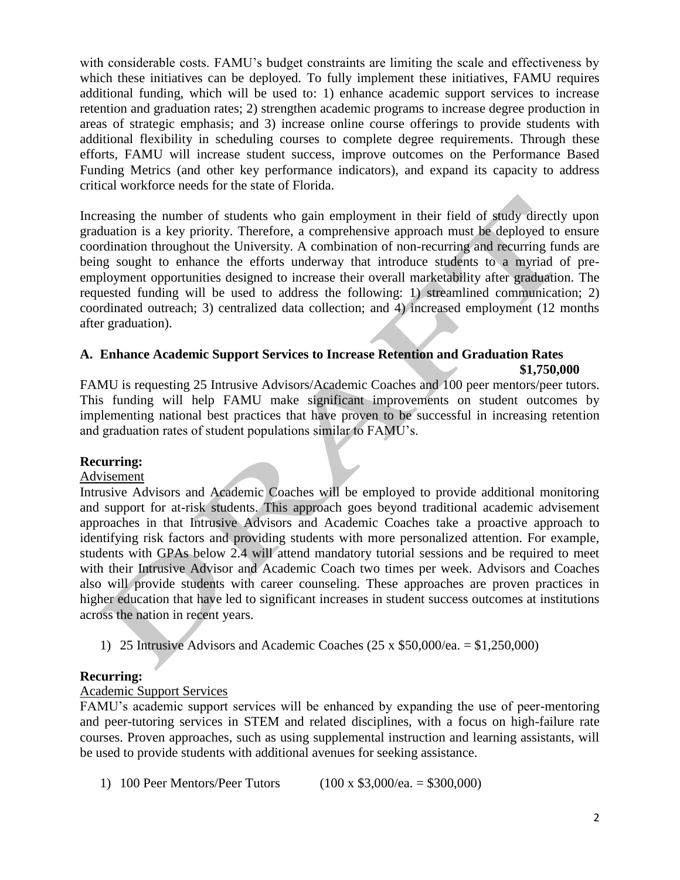with considerable costs. FAMU's budget constraints are limiting the scale and effectiveness by which these initiatives can be deployed. To fully implement these initiatives, FAMU requires additional funding, which will be used to: 1) enhance academic support services to increase retention and graduation rates; 2) strengthen academic programs to increase degree production in areas of strategic emphasis; and 3) increase online course offerings to provide students with additional flexibility in scheduling courses to complete degree requirements. Through these efforts, FAMU will increase student success, improve outcomes on the Performance Based Funding Metrics (and other key performance indicators), and expand its capacity to address critical workforce needs for the state of Florida.

Increasing the number of students who gain employment in their field of study directly upon graduation is a key priority. Therefore, a comprehensive approach must be deployed to ensure coordination throughout the University. A combination of non-recurring and recurring funds are being sought to enhance the efforts underway that introduce students to a myriad of preemployment opportunities designed to increase their overall marketability after graduation. The requested funding will be used to address the following: 1) streamlined communication; 2) coordinated outreach; 3) centralized data collection; and 4) increased employment (12 months after graduation).

# **A. Enhance Academic Support Services to Increase Retention and Graduation Rates**

**\$1,750,000**

FAMU is requesting 25 Intrusive Advisors/Academic Coaches and 100 peer mentors/peer tutors. This funding will help FAMU make significant improvements on student outcomes by implementing national best practices that have proven to be successful in increasing retention and graduation rates of student populations similar to FAMU's.

# **Recurring:**

#### Advisement

Intrusive Advisors and Academic Coaches will be employed to provide additional monitoring and support for at-risk students. This approach goes beyond traditional academic advisement approaches in that Intrusive Advisors and Academic Coaches take a proactive approach to identifying risk factors and providing students with more personalized attention. For example, students with GPAs below 2.4 will attend mandatory tutorial sessions and be required to meet with their Intrusive Advisor and Academic Coach two times per week. Advisors and Coaches also will provide students with career counseling. These approaches are proven practices in higher education that have led to significant increases in student success outcomes at institutions across the nation in recent years.

1) 25 Intrusive Advisors and Academic Coaches (25 x \$50,000/ea. = \$1,250,000)

# **Recurring:**

# Academic Support Services

FAMU's academic support services will be enhanced by expanding the use of peer-mentoring and peer-tutoring services in STEM and related disciplines, with a focus on high-failure rate courses. Proven approaches, such as using supplemental instruction and learning assistants, will be used to provide students with additional avenues for seeking assistance.

1) 100 Peer Mentors/Peer Tutors (100 x \$3,000/ea. = \$300,000)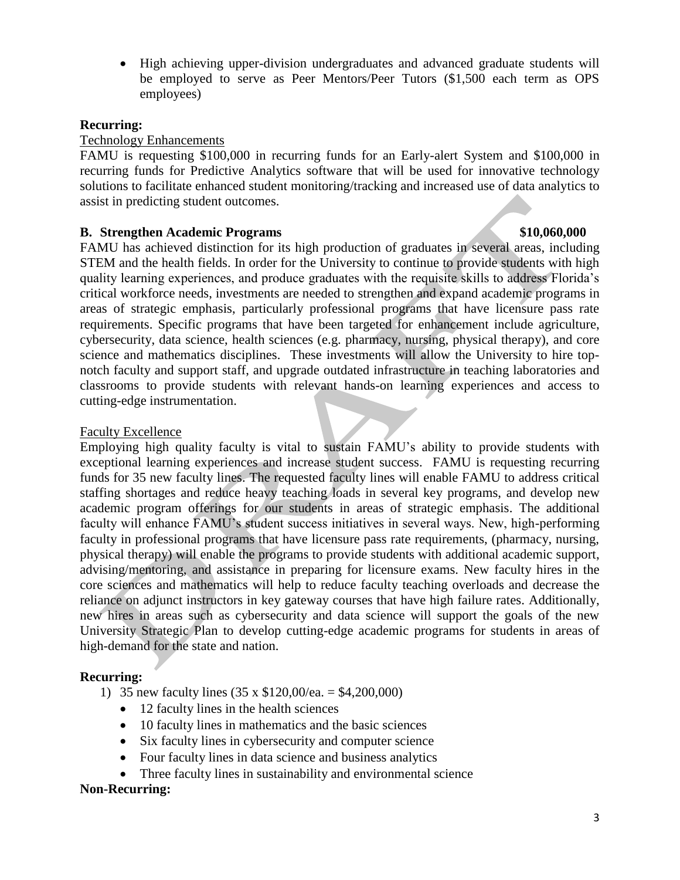High achieving upper-division undergraduates and advanced graduate students will be employed to serve as Peer Mentors/Peer Tutors (\$1,500 each term as OPS employees)

#### **Recurring:**

#### Technology Enhancements

FAMU is requesting \$100,000 in recurring funds for an Early-alert System and \$100,000 in recurring funds for Predictive Analytics software that will be used for innovative technology solutions to facilitate enhanced student monitoring/tracking and increased use of data analytics to assist in predicting student outcomes.

#### **B. Strengthen Academic Programs \$10,060,000**

FAMU has achieved distinction for its high production of graduates in several areas, including STEM and the health fields. In order for the University to continue to provide students with high quality learning experiences, and produce graduates with the requisite skills to address Florida's critical workforce needs, investments are needed to strengthen and expand academic programs in areas of strategic emphasis, particularly professional programs that have licensure pass rate requirements. Specific programs that have been targeted for enhancement include agriculture, cybersecurity, data science, health sciences (e.g. pharmacy, nursing, physical therapy), and core science and mathematics disciplines. These investments will allow the University to hire topnotch faculty and support staff, and upgrade outdated infrastructure in teaching laboratories and classrooms to provide students with relevant hands-on learning experiences and access to cutting-edge instrumentation.

#### Faculty Excellence

Employing high quality faculty is vital to sustain FAMU's ability to provide students with exceptional learning experiences and increase student success. FAMU is requesting recurring funds for 35 new faculty lines. The requested faculty lines will enable FAMU to address critical staffing shortages and reduce heavy teaching loads in several key programs, and develop new academic program offerings for our students in areas of strategic emphasis. The additional faculty will enhance FAMU's student success initiatives in several ways. New, high-performing faculty in professional programs that have licensure pass rate requirements, (pharmacy, nursing, physical therapy) will enable the programs to provide students with additional academic support, advising/mentoring, and assistance in preparing for licensure exams. New faculty hires in the core sciences and mathematics will help to reduce faculty teaching overloads and decrease the reliance on adjunct instructors in key gateway courses that have high failure rates. Additionally, new hires in areas such as cybersecurity and data science will support the goals of the new University Strategic Plan to develop cutting-edge academic programs for students in areas of high-demand for the state and nation.

# **Recurring:**

- 1) 35 new faculty lines (35 x \$120,00/ea. = \$4,200,000)
	- 12 faculty lines in the health sciences
	- 10 faculty lines in mathematics and the basic sciences
	- Six faculty lines in cybersecurity and computer science
	- Four faculty lines in data science and business analytics
	- Three faculty lines in sustainability and environmental science

#### **Non-Recurring:**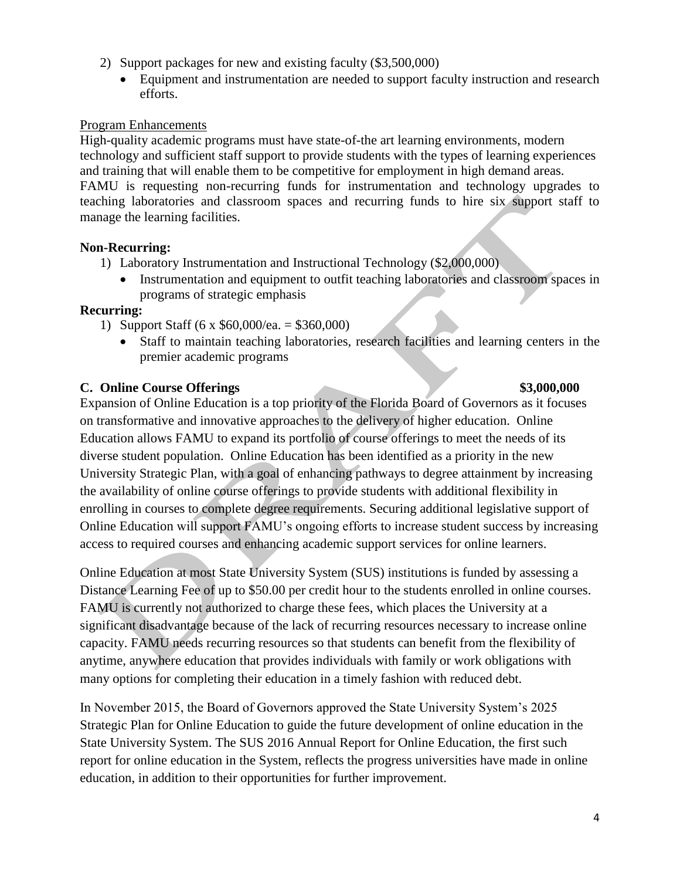- 2) Support packages for new and existing faculty (\$3,500,000)
	- Equipment and instrumentation are needed to support faculty instruction and research efforts.

#### Program Enhancements

High-quality academic programs must have state-of-the art learning environments, modern technology and sufficient staff support to provide students with the types of learning experiences and training that will enable them to be competitive for employment in high demand areas. FAMU is requesting non-recurring funds for instrumentation and technology upgrades to teaching laboratories and classroom spaces and recurring funds to hire six support staff to manage the learning facilities.

#### **Non-Recurring:**

- 1) Laboratory Instrumentation and Instructional Technology (\$2,000,000)
	- Instrumentation and equipment to outfit teaching laboratories and classroom spaces in programs of strategic emphasis

#### **Recurring:**

- 1) Support Staff (6 x  $$60,000$ /ea.  $= $360,000$ )
	- Staff to maintain teaching laboratories, research facilities and learning centers in the premier academic programs

# **C. Online Course Offerings \$3,000,000**

# Expansion of Online Education is a top priority of the Florida Board of Governors as it focuses on transformative and innovative approaches to the delivery of higher education. Online Education allows FAMU to expand its portfolio of course offerings to meet the needs of its diverse student population. Online Education has been identified as a priority in the new University Strategic Plan, with a goal of enhancing pathways to degree attainment by increasing the availability of online course offerings to provide students with additional flexibility in enrolling in courses to complete degree requirements. Securing additional legislative support of Online Education will support FAMU's ongoing efforts to increase student success by increasing access to required courses and enhancing academic support services for online learners.

Online Education at most State University System (SUS) institutions is funded by assessing a Distance Learning Fee of up to \$50.00 per credit hour to the students enrolled in online courses. FAMU is currently not authorized to charge these fees, which places the University at a significant disadvantage because of the lack of recurring resources necessary to increase online capacity. FAMU needs recurring resources so that students can benefit from the flexibility of anytime, anywhere education that provides individuals with family or work obligations with many options for completing their education in a timely fashion with reduced debt.

In November 2015, the Board of Governors approved the State University System's 2025 Strategic Plan for Online Education to guide the future development of online education in the State University System. The SUS 2016 Annual Report for Online Education, the first such report for online education in the System, reflects the progress universities have made in online education, in addition to their opportunities for further improvement.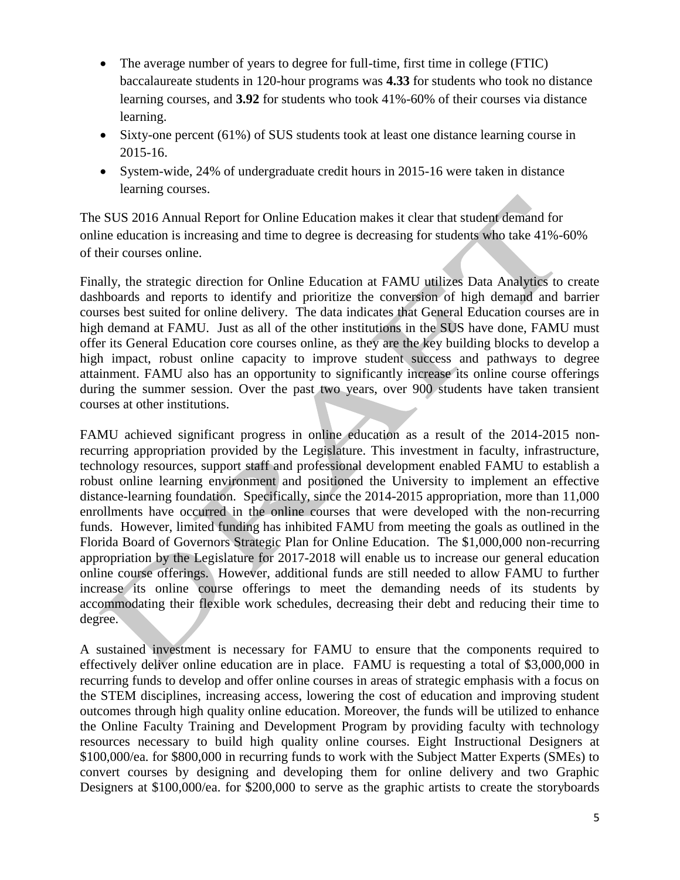- The average number of years to degree for full-time, first time in college (FTIC) baccalaureate students in 120-hour programs was **4.33** for students who took no distance learning courses, and **3.92** for students who took 41%-60% of their courses via distance learning.
- Sixty-one percent (61%) of SUS students took at least one distance learning course in 2015-16.
- System-wide, 24% of undergraduate credit hours in 2015-16 were taken in distance learning courses.

The SUS 2016 Annual Report for Online Education makes it clear that student demand for online education is increasing and time to degree is decreasing for students who take 41%-60% of their courses online.

Finally, the strategic direction for Online Education at FAMU utilizes Data Analytics to create dashboards and reports to identify and prioritize the conversion of high demand and barrier courses best suited for online delivery. The data indicates that General Education courses are in high demand at FAMU. Just as all of the other institutions in the SUS have done, FAMU must offer its General Education core courses online, as they are the key building blocks to develop a high impact, robust online capacity to improve student success and pathways to degree attainment. FAMU also has an opportunity to significantly increase its online course offerings during the summer session. Over the past two years, over 900 students have taken transient courses at other institutions.

FAMU achieved significant progress in online education as a result of the 2014-2015 nonrecurring appropriation provided by the Legislature. This investment in faculty, infrastructure, technology resources, support staff and professional development enabled FAMU to establish a robust online learning environment and positioned the University to implement an effective distance-learning foundation. Specifically, since the 2014-2015 appropriation, more than 11,000 enrollments have occurred in the online courses that were developed with the non-recurring funds. However, limited funding has inhibited FAMU from meeting the goals as outlined in the Florida Board of Governors Strategic Plan for Online Education. The \$1,000,000 non-recurring appropriation by the Legislature for 2017-2018 will enable us to increase our general education online course offerings. However, additional funds are still needed to allow FAMU to further increase its online course offerings to meet the demanding needs of its students by accommodating their flexible work schedules, decreasing their debt and reducing their time to degree.

A sustained investment is necessary for FAMU to ensure that the components required to effectively deliver online education are in place. FAMU is requesting a total of \$3,000,000 in recurring funds to develop and offer online courses in areas of strategic emphasis with a focus on the STEM disciplines, increasing access, lowering the cost of education and improving student outcomes through high quality online education. Moreover, the funds will be utilized to enhance the Online Faculty Training and Development Program by providing faculty with technology resources necessary to build high quality online courses. Eight Instructional Designers at \$100,000/ea. for \$800,000 in recurring funds to work with the Subject Matter Experts (SMEs) to convert courses by designing and developing them for online delivery and two Graphic Designers at \$100,000/ea. for \$200,000 to serve as the graphic artists to create the storyboards